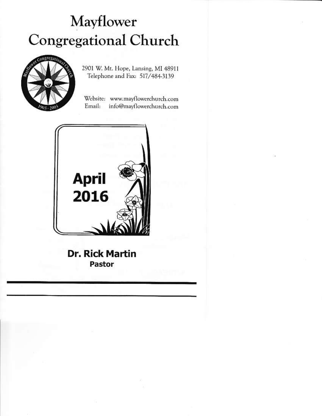# Mayflower **Congregational Church**



2901 W. Mt. Hope, Lansing, MI 48911 Telephone and Fax: 517/484-3139

Website: www.mayflowerchurch.com Email: info@mayflowerchurch.com



**Dr. Rick Martin** Pastor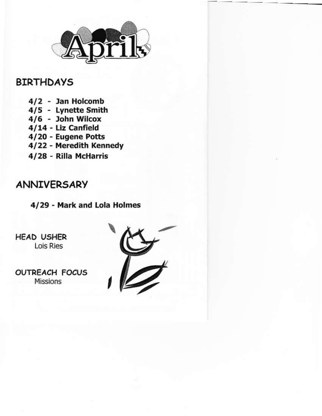

### **BIRTHDAYS**

- 4/2 Jan Holcomb
- 4/5 Lynette Smith
- 4/6 John Wilcox
- 4/14 Liz Canfield
- 4/20 Eugene Potts
- 4/22 Meredith Kennedy
- 4/28 Rilla McHarris

### **ANNIVERSARY**

4/29 - Mark and Lola Holmes

**HEAD USHER** Lois Ries

**OUTREACH FOCUS Missions** 

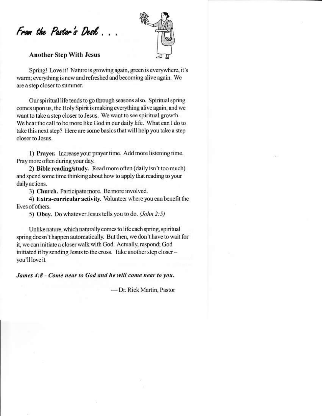From the Pastor's Desk.

#### **Another Step With Jesus**



Spring! Love it! Nature is growing again, green is everywhere, it's warm; everything is new and refreshed and becoming alive again. We are a step closer to summer.

Our spiritual life tends to go through seasons also. Spiritual spring comes upon us, the Holy Spirit is making everything alive again, and we want to take a step closer to Jesus. We want to see spiritual growth. We hear the call to be more like God in our daily life. What can I do to take this next step? Here are some basics that will help you take a step closer to Jesus.

1) Prayer. Increase your prayer time. Add more listening time. Pray more often during your day.

2) Bible reading/study. Read more often (daily isn't too much) and spend some time thinking about how to apply that reading to your daily actions.

3) Church. Participate more. Be more involved.

4) Extra-curricular activity. Volunteer where you can benefit the lives of others.

5) Obey. Do whatever Jesus tells you to do. (John 2:5)

Unlike nature, which naturally comes to life each spring, spiritual spring doesn't happen automatically. But then, we don't have to wait for it, we can initiate a closer walk with God. Actually, respond; God initiated it by sending Jesus to the cross. Take another step closeryou'll love it.

James 4:8 - Come near to God and he will come near to you.

-Dr. Rick Martin, Pastor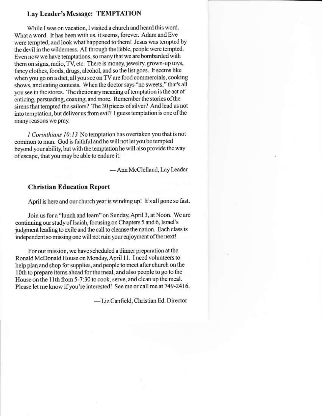#### Lav Leader's Message: TEMPTATION

While I was on vacation, I visited a church and heard this word. What a word. It has been with us, it seems, forever. Adam and Eve were tempted, and look what happened to them! Jesus was tempted by the devil in the wilderness. All through the Bible, people were tempted. Even now we have temptations, so many that we are bombarded with them on signs, radio, TV, etc. There is money, jewelry, grown-up toys, fancy clothes, foods, drugs, alcohol, and so the list goes. It seems like when you go on a diet, all you see on TV are food commercials, cooking shows, and eating contests. When the doctor says "no sweets," that's all you see in the stores. The dictionary meaning of temptation is the act of enticing, persuading, coaxing, and more. Remember the stories of the sirens that tempted the sailors? The 30 pieces of silver? And lead us not into temptation, but deliver us from evil? I guess temptation is one of the many reasons we pray.

I Corinthians 10:13 No temptation has overtaken you that is not common to man. God is faithful and he will not let you be tempted beyond your ability, but with the temptation he will also provide the way of escape, that you may be able to endure it.

-Ann McClelland, Lay Leader

#### **Christian Education Report**

April is here and our church year is winding up! It's all gone so fast.

Join us for a "lunch and learn" on Sunday, April 3, at Noon. We are continuing our study of Isaiah, focusing on Chapters 5 and 6, Israel's judgment leading to exile and the call to cleanse the nation. Each class is independent so missing one will not ruin your enjoyment of the next!

For our mission, we have scheduled a dinner preparation at the Ronald McDonald House on Monday, April 11. I need volunteers to help plan and shop for supplies, and people to meet after church on the 10th to prepare items ahead for the meal, and also people to go to the House on the 11th from 5-7:30 to cook, serve, and clean up the meal. Please let me know if you're interested! See me or call me at 749-2416.

-Liz Canfield, Christian Ed. Director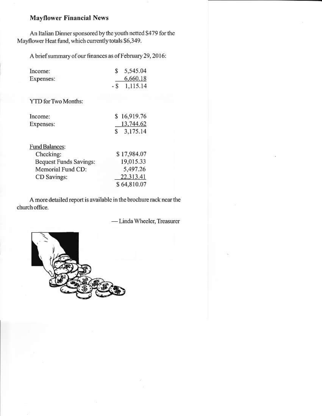#### **Mayflower Financial News**

An Italian Dinner sponsored by the youth netted \$479 for the Mayflower Heat fund, which currently totals \$6,349.

A brief summary of our finances as of February 29, 2016:

| Income:   |     | 5,545.04 |
|-----------|-----|----------|
| Expenses: |     | 6,660.18 |
|           | - 8 | 1,115.14 |

**YTD** for Two Months:

| Income:                       | 16,919.76   |  |
|-------------------------------|-------------|--|
| Expenses:                     | 13,744.62   |  |
|                               | 3,175.14    |  |
| <b>Fund Balances:</b>         |             |  |
| Checking:                     | \$17,984.07 |  |
| <b>Bequest Funds Savings:</b> | 19,015.33   |  |
| 5,497.26<br>Memorial Fund CD: |             |  |
| CD Savings:                   | 22,313.41   |  |
|                               | \$64,810.07 |  |

A more detailed report is available in the brochure rack near the church office.

- Linda Wheeler, Treasurer

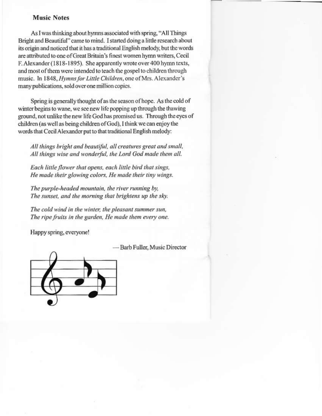#### **Music Notes**

As I was thinking about hymns associated with spring, "All Things Bright and Beautiful" came to mind. I started doing a little research about its origin and noticed that it has a traditional English melody, but the words are attributed to one of Great Britain's finest women hymn writers, Cecil F. Alexander (1818-1895). She apparently wrote over 400 hymn texts, and most of them were intended to teach the gospel to children through music. In 1848, Hymns for Little Children, one of Mrs. Alexander's many publications, sold over one million copies.

Spring is generally thought of as the season of hope. As the cold of winter begins to wane, we see new life popping up through the thawing ground, not unlike the new life God has promised us. Through the eyes of children (as well as being children of God), I think we can enjoy the words that Cecil Alexander put to that traditional English melody:

All things bright and beautiful, all creatures great and small, All things wise and wonderful, the Lord God made them all.

Each little flower that opens, each little bird that sings, He made their glowing colors, He made their tiny wings.

The purple-headed mountain, the river running by, The sunset, and the morning that brightens up the sky.

The cold wind in the winter, the pleasant summer sun, The ripe fruits in the garden, He made them every one.

Happy spring, everyone!

- Barb Fuller, Music Director

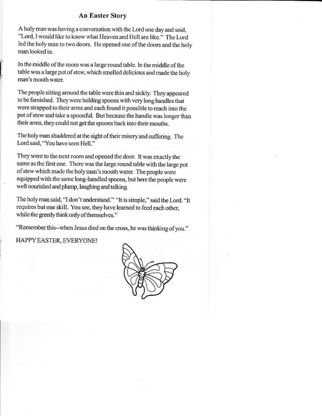#### **An Easter Story**

A holy man was having a conversation with the Lord one day and said. "Lord, I would like to know what Heaven and Hell are like." The Lord led the holy man to two doors. He opened one of the doors and the holy man looked in.

In the middle of the room was a large round table. In the middle of the table was a large pot of stew, which smelled delicious and made the holy man's mouth water.

The people sitting around the table were thin and sickly. They appeared to be famished. They were holding spoons with very long handles that were strapped to their arms and each found it possible to reach into the pot of stew and take a spoonful. But because the handle was longer than their arms, they could not get the spoons back into their mouths.

The holy man shuddered at the sight of their misery and suffering. The Lord said, "You have seen Hell."

They went to the next room and opened the door. It was exactly the same as the first one. There was the large round table with the large pot of stew which made the holy man's mouth water. The people were equipped with the same long-handled spoons, but here the people were well nourished and plump, laughing and talking.

The holy man said, "I don't understand." "It is simple," said the Lord. "It requires but one skill. You see, they have learned to feed each other, while the greedy think only of themselves."

"Remember this--when Jesus died on the cross, he was thinking of you."

HAPPY EASTER, EVERYONE!

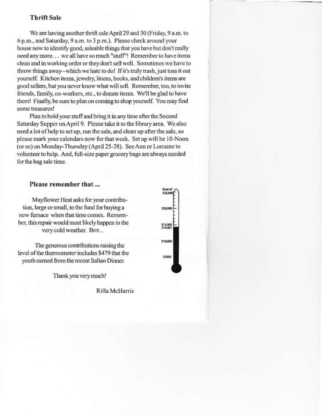#### **Thrift Sale**

We are having another thrift sale April 29 and 30 (Friday, 9 a.m. to 6 p.m., and Saturday, 9 a.m. to 3 p.m.). Please check around your house now to identify good, saleable things that you have but don't really need any more... we all have so much "stuff"! Remember to have items clean and in working order or they don't sell well. Sometimes we have to throw things away--which we hate to do! If it's truly trash, just toss it out yourself. Kitchen items, jewelry, linens, books, and children's items are good sellers, but you never know what will sell. Remember, too, to invite friends, family, co-workers, etc., to donate items. We'll be glad to have them! Finally, be sure to plan on coming to shop yourself. You may find some treasures!

Plan to hold your stuff and bring it in any time after the Second Saturday Supper on April 9. Please take it to the library area. We also need a lot of help to set up, run the sale, and clean up after the sale, so please mark your calendars now for that week. Set up will be 10-Noon (or so) on Monday-Thursday (April 25-28). See Ann or Lorraine to volunteer to help. And, full-size paper grocery bags are always needed for the bag sale time.

#### Please remember that ...

Mayflower Heat asks for your contribution, large or small, to the fund for buying a new furnace when that time comes. Remember, this repair would most likely happen in the very cold weather. Brrr...

The generous contributions raising the level of the thermometer includes \$479 that the youth earned from the recent Italian Dinner.

Thank you very much!



**Rilla McHarris**